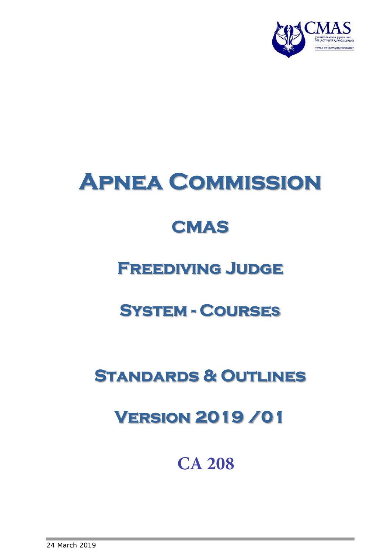

# **Apnea Commission**

## **CMAS**

### **Freediving Judge**

### **System - Courses**

### **Standards & Outlines**

### **Version 2019 /0**

### **CA 208**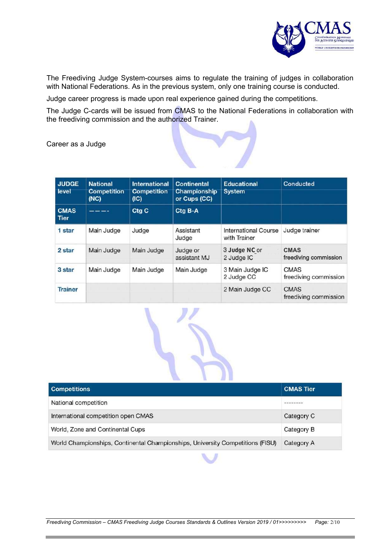

The Freediving Judge System-courses aims to regulate the training of judges in collaboration with National Federations. As in the previous system, only one training course is conducted.

Judge career progress is made upon real experience gained during the competitions.

The Judge C-cards will be issued from CMAS to the National Federations in collaboration with the freediving commission and the authorized Trainer.

Career as a Judge

| <b>JUDGE</b><br>level      | <b>National</b><br><b>Competition</b><br>(NC) | <b>International</b><br><b>Competition</b><br>(IC) | <b>Continental</b><br>Championship<br>or Cups (CC) | <b>Educational</b><br><b>System</b>         | Conducted                            |
|----------------------------|-----------------------------------------------|----------------------------------------------------|----------------------------------------------------|---------------------------------------------|--------------------------------------|
| <b>CMAS</b><br><b>Tier</b> | ----                                          | Ctg C                                              | Ctg B-A                                            |                                             |                                      |
| 1 star                     | Main Judge                                    | Judge                                              | Assistant<br>Judge                                 | <b>International Course</b><br>with Trainer | Judge trainer                        |
| 2 star                     | Main Judge                                    | Main Judge                                         | Judge or<br>assistant MJ                           | 3 Judge NC or<br>2 Judge IC                 | <b>CMAS</b><br>freediving commission |
| 3 star                     | Main Judge                                    | Main Judge                                         | Main Judge                                         | 3 Main Judge IC<br>2 Judge CC               | <b>CMAS</b><br>freediving commission |
| <b>Trainer</b>             |                                               |                                                    |                                                    | 2 Main Judge CC                             | <b>CMAS</b><br>freediving commission |



| <b>Competitions</b>                                                            | <b>CMAS Tier</b> |
|--------------------------------------------------------------------------------|------------------|
| National competition                                                           | --------         |
| International competition open CMAS                                            | Category C       |
| World, Zone and Continental Cups                                               | Category B       |
| World Championships, Continental Championships, University Competitions (FISU) | Category A       |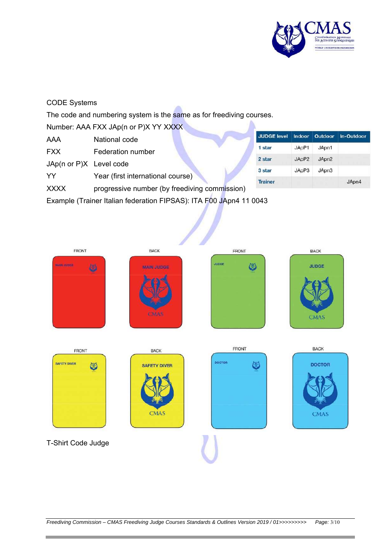

#### CODE Systems

The code and numbering system is the same as for freediving courses.

Number: AAA FXX JAp(n or P)X YY XXXX

- AAA National code
- FXX Federation number

JAp(n or P)X Level code

YY Year (first international course)

XXXX progressive number (by freediving commission)

Example (Trainer Italian federation FIPSAS): ITA F00 JApn4 11 0043

| <b>JUDGE level</b> | Indoor            | Outdoor           | In-Outdoor |
|--------------------|-------------------|-------------------|------------|
| 1 star             | JApP1             | JApn1             |            |
| 2 star             | JApP <sub>2</sub> | JApn <sub>2</sub> |            |
| 3 star             | JApP3             | JApn3             |            |
| <b>Trainer</b>     |                   |                   | JApn4      |

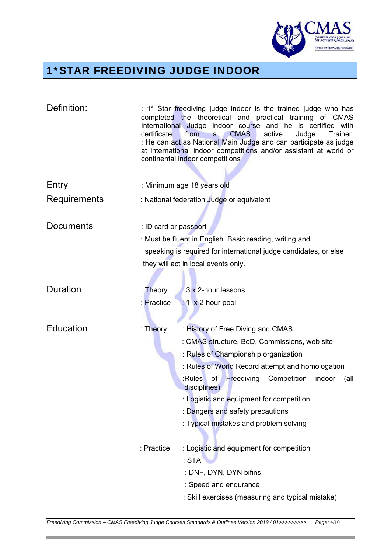

۰

#### 1\*STAR FREEDIVING JUDGE INDOOR

| Definition:      | certificate                                                      | : 1* Star freediving judge indoor is the trained judge who has<br>completed the theoretical and practical training of CMAS<br>International Judge indoor course and he is certified with<br><b>CMAS</b><br>active<br>from<br>Judge<br>Trainer.<br>$\mathbf{a}$<br>: He can act as National Main Judge and can participate as judge<br>at international indoor competitions and/or assistant at world or<br>continental indoor competitions |  |
|------------------|------------------------------------------------------------------|--------------------------------------------------------------------------------------------------------------------------------------------------------------------------------------------------------------------------------------------------------------------------------------------------------------------------------------------------------------------------------------------------------------------------------------------|--|
|                  |                                                                  |                                                                                                                                                                                                                                                                                                                                                                                                                                            |  |
| Entry            |                                                                  | : Minimum age 18 years old                                                                                                                                                                                                                                                                                                                                                                                                                 |  |
| Requirements     |                                                                  | : National federation Judge or equivalent                                                                                                                                                                                                                                                                                                                                                                                                  |  |
| <b>Documents</b> | : ID card or passport                                            |                                                                                                                                                                                                                                                                                                                                                                                                                                            |  |
|                  |                                                                  | : Must be fluent in English. Basic reading, writing and                                                                                                                                                                                                                                                                                                                                                                                    |  |
|                  | speaking is required for international judge candidates, or else |                                                                                                                                                                                                                                                                                                                                                                                                                                            |  |
|                  |                                                                  | they will act in local events only.                                                                                                                                                                                                                                                                                                                                                                                                        |  |
|                  |                                                                  |                                                                                                                                                                                                                                                                                                                                                                                                                                            |  |
| Duration         | : Theory                                                         | : 3 x 2-hour lessons                                                                                                                                                                                                                                                                                                                                                                                                                       |  |
|                  | : Practice                                                       | $: 1 \times 2$ -hour pool                                                                                                                                                                                                                                                                                                                                                                                                                  |  |
|                  |                                                                  |                                                                                                                                                                                                                                                                                                                                                                                                                                            |  |
| Education        | : Theory                                                         | : History of Free Diving and CMAS                                                                                                                                                                                                                                                                                                                                                                                                          |  |
|                  |                                                                  | : CMAS structure, BoD, Commissions, web site                                                                                                                                                                                                                                                                                                                                                                                               |  |
|                  |                                                                  | : Rules of Championship organization                                                                                                                                                                                                                                                                                                                                                                                                       |  |
|                  |                                                                  | : Rules of World Record attempt and homologation                                                                                                                                                                                                                                                                                                                                                                                           |  |
|                  |                                                                  | Freediving<br>:Rules<br>of<br>Competition<br>indoor<br>(all<br>disciplines)                                                                                                                                                                                                                                                                                                                                                                |  |
|                  |                                                                  | : Logistic and equipment for competition                                                                                                                                                                                                                                                                                                                                                                                                   |  |
|                  |                                                                  | : Dangers and safety precautions                                                                                                                                                                                                                                                                                                                                                                                                           |  |
|                  |                                                                  | : Typical mistakes and problem solving                                                                                                                                                                                                                                                                                                                                                                                                     |  |
|                  | : Practice                                                       | : Logistic and equipment for competition                                                                                                                                                                                                                                                                                                                                                                                                   |  |
|                  |                                                                  | : STA                                                                                                                                                                                                                                                                                                                                                                                                                                      |  |
|                  |                                                                  | : DNF, DYN, DYN bifins                                                                                                                                                                                                                                                                                                                                                                                                                     |  |
|                  |                                                                  | : Speed and endurance                                                                                                                                                                                                                                                                                                                                                                                                                      |  |
|                  |                                                                  | : Skill exercises (measuring and typical mistake)                                                                                                                                                                                                                                                                                                                                                                                          |  |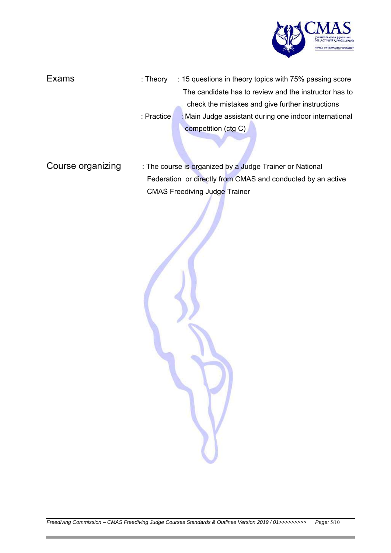

| Exams | : Theory   |                     | : 15 questions in theory topics with 75% passing score |
|-------|------------|---------------------|--------------------------------------------------------|
|       |            |                     | The candidate has to review and the instructor has to  |
|       |            |                     | check the mistakes and give further instructions       |
|       | : Practice |                     | : Main Judge assistant during one indoor international |
|       |            | competition (ctg C) |                                                        |
|       |            |                     |                                                        |

Course organizing : The course is organized by a Judge Trainer or National Federation or directly from CMAS and conducted by an active CMAS Freediving Judge Trainer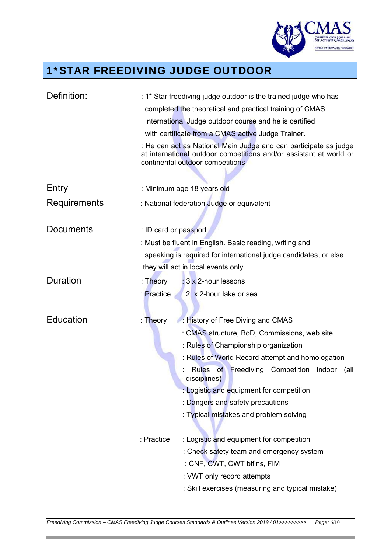

۰

#### 1\*STAR FREEDIVING JUDGE OUTDOOR

| Definition:      | : 1* Star freediving judge outdoor is the trained judge who has                                                                                                            |  |  |  |
|------------------|----------------------------------------------------------------------------------------------------------------------------------------------------------------------------|--|--|--|
|                  | completed the theoretical and practical training of CMAS                                                                                                                   |  |  |  |
|                  | International Judge outdoor course and he is certified                                                                                                                     |  |  |  |
|                  | with certificate from a CMAS active Judge Trainer.                                                                                                                         |  |  |  |
|                  | : He can act as National Main Judge and can participate as judge<br>at international outdoor competitions and/or assistant at world or<br>continental outdoor competitions |  |  |  |
|                  |                                                                                                                                                                            |  |  |  |
| Entry            | : Minimum age 18 years old                                                                                                                                                 |  |  |  |
| Requirements     | : National federation Judge or equivalent                                                                                                                                  |  |  |  |
| <b>Documents</b> |                                                                                                                                                                            |  |  |  |
|                  | : ID card or passport                                                                                                                                                      |  |  |  |
|                  | : Must be fluent in English. Basic reading, writing and                                                                                                                    |  |  |  |
|                  | speaking is required for international judge candidates, or else                                                                                                           |  |  |  |
|                  | they will act in local events only.                                                                                                                                        |  |  |  |
| Duration         | : 3 x 2-hour lessons<br>: Theory                                                                                                                                           |  |  |  |
|                  | :2 x 2-hour lake or sea<br>: Practice                                                                                                                                      |  |  |  |
|                  |                                                                                                                                                                            |  |  |  |
| Education        | : Theory<br>: History of Free Diving and CMAS                                                                                                                              |  |  |  |
|                  | : CMAS structure, BoD, Commissions, web site                                                                                                                               |  |  |  |
|                  | : Rules of Championship organization                                                                                                                                       |  |  |  |
|                  | : Rules of World Record attempt and homologation                                                                                                                           |  |  |  |
|                  | Rules of Freediving Competition indoor<br>(all<br>disciplines)                                                                                                             |  |  |  |
|                  | : Logistic and equipment for competition                                                                                                                                   |  |  |  |
|                  | : Dangers and safety precautions                                                                                                                                           |  |  |  |
|                  | : Typical mistakes and problem solving                                                                                                                                     |  |  |  |
|                  | : Practice<br>: Logistic and equipment for competition                                                                                                                     |  |  |  |
|                  | : Check safety team and emergency system                                                                                                                                   |  |  |  |
|                  | : CNF, CWT, CWT bifins, FIM                                                                                                                                                |  |  |  |
|                  | : VWT only record attempts                                                                                                                                                 |  |  |  |
|                  | : Skill exercises (measuring and typical mistake)                                                                                                                          |  |  |  |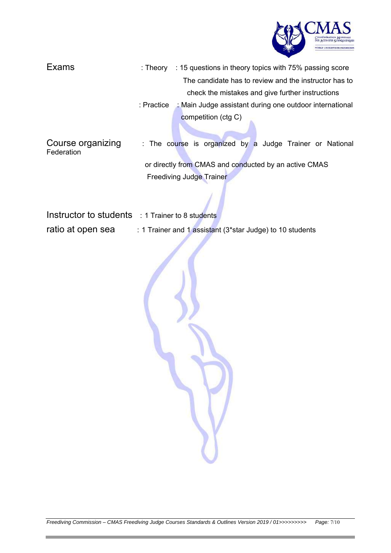

- Exams : Theory : 15 questions in theory topics with 75% passing score The candidate has to review and the instructor has to check the mistakes and give further instructions : Practice : Main Judge assistant during one outdoor international competition (ctg C)
- Course organizing : The course is organized by a Judge Trainer or National **Federation**  or directly from CMAS and conducted by an active CMAS Freediving Judge Trainer

Instructor to students : 1 Trainer to 8 students

ratio at open sea : 1 Trainer and 1 assistant (3\*star Judge) to 10 students

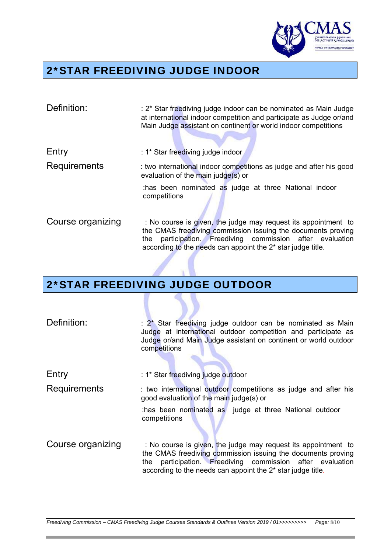

#### 2\*STAR FREEDIVING JUDGE INDOOR

| Definition:       | : 2* Star freediving judge indoor can be nominated as Main Judge<br>at international indoor competition and participate as Judge or/and<br>Main Judge assistant on continent or world indoor competitions                                                                 |
|-------------------|---------------------------------------------------------------------------------------------------------------------------------------------------------------------------------------------------------------------------------------------------------------------------|
| Entry             | : 1* Star freediving judge indoor                                                                                                                                                                                                                                         |
| Requirements      | : two international indoor competitions as judge and after his good<br>evaluation of the main judge(s) or                                                                                                                                                                 |
|                   | thas been nominated as judge at three National indoor<br>competitions                                                                                                                                                                                                     |
| Course organizing | : No course is given, the judge may request its appointment to<br>the CMAS freediving commission issuing the documents proving<br>participation. Freediving commission after evaluation<br>the<br>according to the needs can appoint the 2 <sup>*</sup> star judge title. |

#### 2\*STAR FREEDIVING JUDGE OUTDOOR

| Definition:       | : 2* Star freediving judge outdoor can be nominated as Main<br>Judge at international outdoor competition and participate as<br>Judge or/and Main Judge assistant on continent or world outdoor<br>competitions                                                           |
|-------------------|---------------------------------------------------------------------------------------------------------------------------------------------------------------------------------------------------------------------------------------------------------------------------|
| Entry             | : 1* Star freediving judge outdoor                                                                                                                                                                                                                                        |
| Requirements      | : two international outdoor competitions as judge and after his<br>good evaluation of the main judge(s) or                                                                                                                                                                |
|                   | thas been nominated as judge at three National outdoor<br>competitions                                                                                                                                                                                                    |
| Course organizing | : No course is given, the judge may request its appointment to<br>the CMAS freediving commission issuing the documents proving<br>participation. Freediving commission after evaluation<br>the<br>according to the needs can appoint the 2 <sup>*</sup> star judge title. |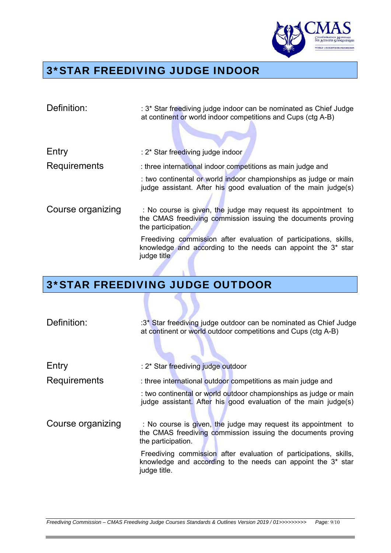

#### 3\*STAR FREEDIVING JUDGE INDOOR

| Definition:       | : 3* Star freediving judge indoor can be nominated as Chief Judge<br>at continent or world indoor competitions and Cups (ctg A-B)                            |
|-------------------|--------------------------------------------------------------------------------------------------------------------------------------------------------------|
| Entry             | : 2* Star freediving judge indoor                                                                                                                            |
| Requirements      | : three international indoor competitions as main judge and                                                                                                  |
|                   | : two continental or world indoor championships as judge or main<br>judge assistant. After his good evaluation of the main judge(s)                          |
| Course organizing | : No course is given, the judge may request its appointment to<br>the CMAS freediving commission issuing the documents proving<br>the participation.         |
|                   | Freediving commission after evaluation of participations, skills,<br>knowledge and according to the needs can appoint the 3 <sup>*</sup> star<br>judge title |

### 3\*STAR FREEDIVING JUDGE OUTDOOR

| Definition:       | :3* Star freediving judge outdoor can be nominated as Chief Judge<br>at continent or world outdoor competitions and Cups (ctg A-B)                            |
|-------------------|---------------------------------------------------------------------------------------------------------------------------------------------------------------|
| Entry             | : 2* Star freediving judge outdoor                                                                                                                            |
| Requirements      | : three international outdoor competitions as main judge and                                                                                                  |
|                   | : two continental or world outdoor championships as judge or main<br>judge assistant. After his good evaluation of the main judge(s)                          |
| Course organizing | : No course is given, the judge may request its appointment to<br>the CMAS freediving commission issuing the documents proving<br>the participation.          |
|                   | Freediving commission after evaluation of participations, skills,<br>knowledge and according to the needs can appoint the 3 <sup>*</sup> star<br>judge title. |
|                   |                                                                                                                                                               |